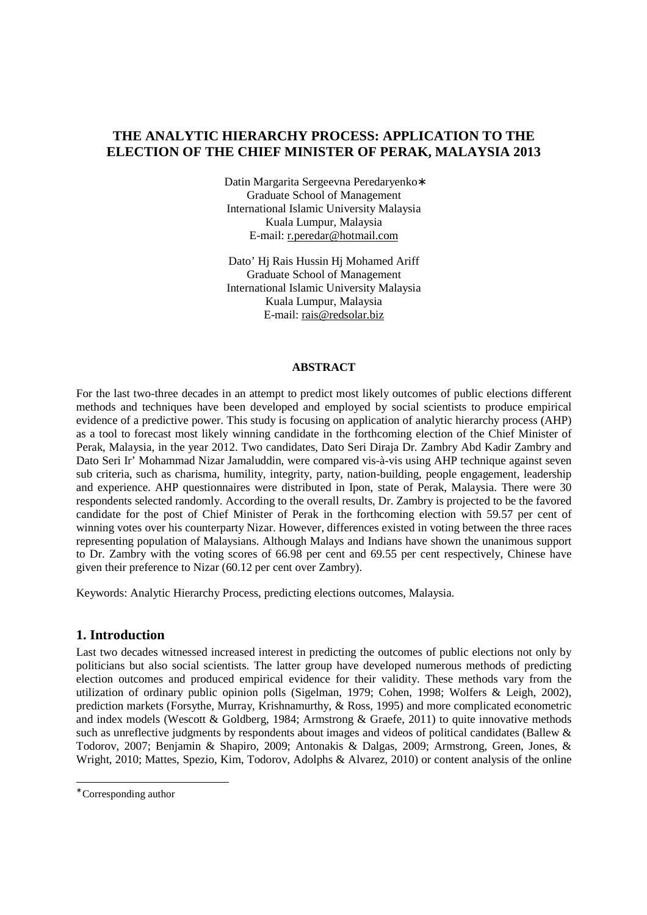# **THE ANALYTIC HIERARCHY PROCESS: APPLICATION TO THE ELECTION OF THE CHIEF MINISTER OF PERAK, MALAYSIA 2013**

Datin Margarita Sergeevna Peredaryenko∗ Graduate School of Management International Islamic University Malaysia Kuala Lumpur, Malaysia E-mail: r.peredar@hotmail.com

Dato' Hj Rais Hussin Hj Mohamed Ariff Graduate School of Management International Islamic University Malaysia Kuala Lumpur, Malaysia E-mail: rais@redsolar.biz

### **ABSTRACT**

For the last two-three decades in an attempt to predict most likely outcomes of public elections different methods and techniques have been developed and employed by social scientists to produce empirical evidence of a predictive power. This study is focusing on application of analytic hierarchy process (AHP) as a tool to forecast most likely winning candidate in the forthcoming election of the Chief Minister of Perak, Malaysia, in the year 2012. Two candidates, Dato Seri Diraja Dr. Zambry Abd Kadir Zambry and Dato Seri Ir' Mohammad Nizar Jamaluddin, were compared vis-à-vis using AHP technique against seven sub criteria, such as charisma, humility, integrity, party, nation-building, people engagement, leadership and experience. AHP questionnaires were distributed in Ipon, state of Perak, Malaysia. There were 30 respondents selected randomly. According to the overall results, Dr. Zambry is projected to be the favored candidate for the post of Chief Minister of Perak in the forthcoming election with 59.57 per cent of winning votes over his counterparty Nizar. However, differences existed in voting between the three races representing population of Malaysians. Although Malays and Indians have shown the unanimous support to Dr. Zambry with the voting scores of 66.98 per cent and 69.55 per cent respectively, Chinese have given their preference to Nizar (60.12 per cent over Zambry).

Keywords: Analytic Hierarchy Process, predicting elections outcomes, Malaysia.

## **1. Introduction**

Last two decades witnessed increased interest in predicting the outcomes of public elections not only by politicians but also social scientists. The latter group have developed numerous methods of predicting election outcomes and produced empirical evidence for their validity. These methods vary from the utilization of ordinary public opinion polls (Sigelman, 1979; Cohen, 1998; Wolfers & Leigh, 2002), prediction markets (Forsythe, Murray, Krishnamurthy, & Ross, 1995) and more complicated econometric and index models (Wescott & Goldberg, 1984; Armstrong & Graefe, 2011) to quite innovative methods such as unreflective judgments by respondents about images and videos of political candidates (Ballew & Todorov, 2007; Benjamin & Shapiro, 2009; Antonakis & Dalgas, 2009; Armstrong, Green, Jones, & Wright, 2010; Mattes, Spezio, Kim, Todorov, Adolphs & Alvarez, 2010) or content analysis of the online

1

<sup>∗</sup> Corresponding author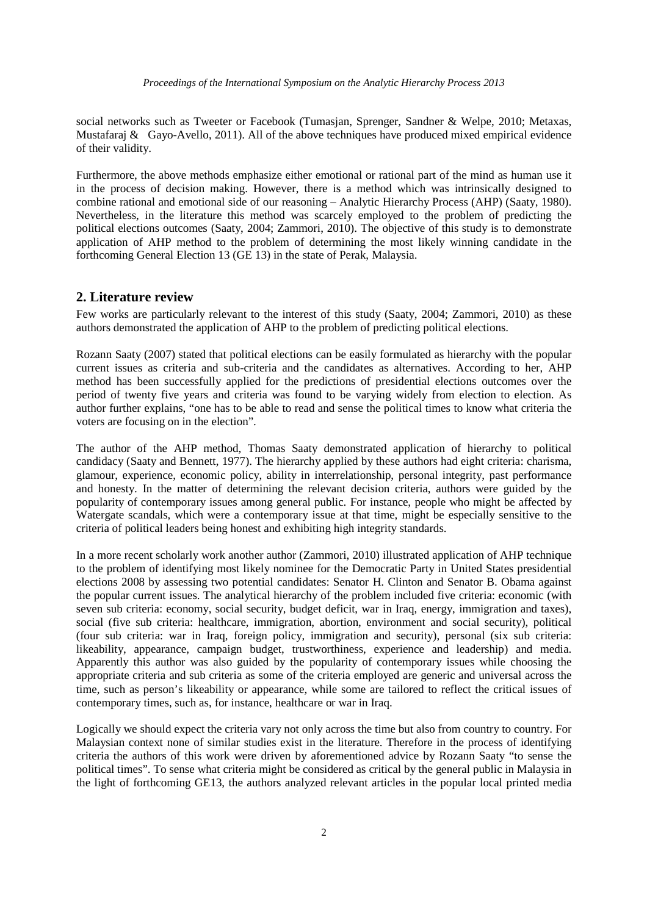social networks such as Tweeter or Facebook (Tumasjan, Sprenger, Sandner & Welpe, 2010; Metaxas, Mustafaraj & Gayo-Avello, 2011). All of the above techniques have produced mixed empirical evidence of their validity.

Furthermore, the above methods emphasize either emotional or rational part of the mind as human use it in the process of decision making. However, there is a method which was intrinsically designed to combine rational and emotional side of our reasoning – Analytic Hierarchy Process (AHP) (Saaty, 1980). Nevertheless, in the literature this method was scarcely employed to the problem of predicting the political elections outcomes (Saaty, 2004; Zammori, 2010). The objective of this study is to demonstrate application of AHP method to the problem of determining the most likely winning candidate in the forthcoming General Election 13 (GE 13) in the state of Perak, Malaysia.

## **2. Literature review**

Few works are particularly relevant to the interest of this study (Saaty, 2004; Zammori, 2010) as these authors demonstrated the application of AHP to the problem of predicting political elections.

Rozann Saaty (2007) stated that political elections can be easily formulated as hierarchy with the popular current issues as criteria and sub-criteria and the candidates as alternatives. According to her, AHP method has been successfully applied for the predictions of presidential elections outcomes over the period of twenty five years and criteria was found to be varying widely from election to election. As author further explains, "one has to be able to read and sense the political times to know what criteria the voters are focusing on in the election".

The author of the AHP method, Thomas Saaty demonstrated application of hierarchy to political candidacy (Saaty and Bennett, 1977). The hierarchy applied by these authors had eight criteria: charisma, glamour, experience, economic policy, ability in interrelationship, personal integrity, past performance and honesty. In the matter of determining the relevant decision criteria, authors were guided by the popularity of contemporary issues among general public. For instance, people who might be affected by Watergate scandals, which were a contemporary issue at that time, might be especially sensitive to the criteria of political leaders being honest and exhibiting high integrity standards.

In a more recent scholarly work another author (Zammori, 2010) illustrated application of AHP technique to the problem of identifying most likely nominee for the Democratic Party in United States presidential elections 2008 by assessing two potential candidates: Senator H. Clinton and Senator B. Obama against the popular current issues. The analytical hierarchy of the problem included five criteria: economic (with seven sub criteria: economy, social security, budget deficit, war in Iraq, energy, immigration and taxes), social (five sub criteria: healthcare, immigration, abortion, environment and social security), political (four sub criteria: war in Iraq, foreign policy, immigration and security), personal (six sub criteria: likeability, appearance, campaign budget, trustworthiness, experience and leadership) and media. Apparently this author was also guided by the popularity of contemporary issues while choosing the appropriate criteria and sub criteria as some of the criteria employed are generic and universal across the time, such as person's likeability or appearance, while some are tailored to reflect the critical issues of contemporary times, such as, for instance, healthcare or war in Iraq.

Logically we should expect the criteria vary not only across the time but also from country to country. For Malaysian context none of similar studies exist in the literature. Therefore in the process of identifying criteria the authors of this work were driven by aforementioned advice by Rozann Saaty "to sense the political times". To sense what criteria might be considered as critical by the general public in Malaysia in the light of forthcoming GE13, the authors analyzed relevant articles in the popular local printed media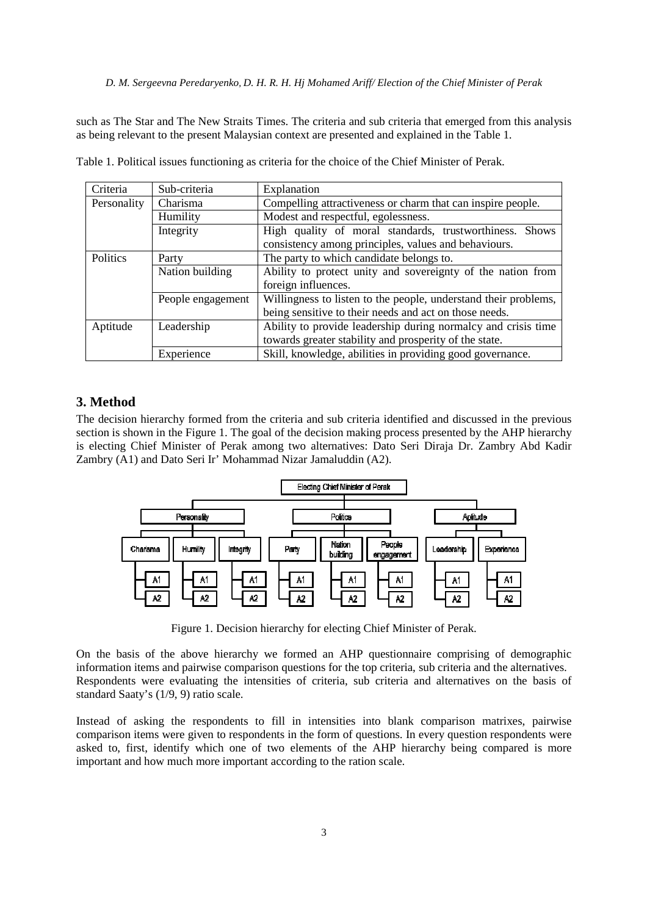### *D. M. Sergeevna Peredaryenko, D. H. R. H. Hj Mohamed Ariff/ Election of the Chief Minister of Perak*

such as The Star and The New Straits Times. The criteria and sub criteria that emerged from this analysis as being relevant to the present Malaysian context are presented and explained in the Table 1.

| Criteria    | Sub-criteria                                      | Explanation                                                     |  |  |  |  |  |
|-------------|---------------------------------------------------|-----------------------------------------------------------------|--|--|--|--|--|
| Personality | Charisma                                          | Compelling attractiveness or charm that can inspire people.     |  |  |  |  |  |
|             | Humility                                          | Modest and respectful, egolessness.                             |  |  |  |  |  |
|             | Integrity                                         | High quality of moral standards, trustworthiness. Shows         |  |  |  |  |  |
|             |                                                   | consistency among principles, values and behaviours.            |  |  |  |  |  |
| Politics    | The party to which candidate belongs to.<br>Party |                                                                 |  |  |  |  |  |
|             | Nation building                                   | Ability to protect unity and sovereignty of the nation from     |  |  |  |  |  |
|             |                                                   | foreign influences.                                             |  |  |  |  |  |
|             | People engagement                                 | Willingness to listen to the people, understand their problems, |  |  |  |  |  |
|             |                                                   | being sensitive to their needs and act on those needs.          |  |  |  |  |  |
| Aptitude    | Leadership                                        | Ability to provide leadership during normalcy and crisis time   |  |  |  |  |  |
|             |                                                   | towards greater stability and prosperity of the state.          |  |  |  |  |  |
|             | Experience                                        | Skill, knowledge, abilities in providing good governance.       |  |  |  |  |  |

Table 1. Political issues functioning as criteria for the choice of the Chief Minister of Perak.

# **3. Method**

The decision hierarchy formed from the criteria and sub criteria identified and discussed in the previous section is shown in the Figure 1. The goal of the decision making process presented by the AHP hierarchy is electing Chief Minister of Perak among two alternatives: Dato Seri Diraja Dr. Zambry Abd Kadir Zambry (A1) and Dato Seri Ir' Mohammad Nizar Jamaluddin (A2).



Figure 1. Decision hierarchy for electing Chief Minister of Perak.

On the basis of the above hierarchy we formed an AHP questionnaire comprising of demographic information items and pairwise comparison questions for the top criteria, sub criteria and the alternatives. Respondents were evaluating the intensities of criteria, sub criteria and alternatives on the basis of standard Saaty's (1/9, 9) ratio scale.

Instead of asking the respondents to fill in intensities into blank comparison matrixes, pairwise comparison items were given to respondents in the form of questions. In every question respondents were asked to, first, identify which one of two elements of the AHP hierarchy being compared is more important and how much more important according to the ration scale.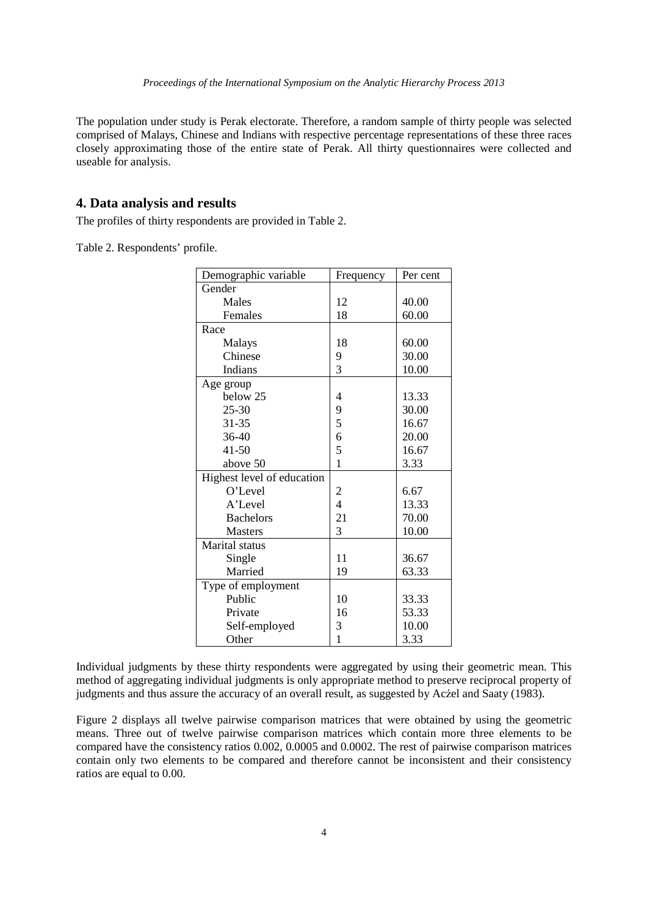The population under study is Perak electorate. Therefore, a random sample of thirty people was selected comprised of Malays, Chinese and Indians with respective percentage representations of these three races closely approximating those of the entire state of Perak. All thirty questionnaires were collected and useable for analysis.

# **4. Data analysis and results**

The profiles of thirty respondents are provided in Table 2.

Table 2. Respondents' profile.

| Demographic variable       | Frequency               | Per cent |
|----------------------------|-------------------------|----------|
| Gender                     |                         |          |
| Males                      | 12                      | 40.00    |
| Females                    | 18                      | 60.00    |
| Race                       |                         |          |
| Malays                     | 18                      | 60.00    |
| Chinese                    | 9                       | 30.00    |
| Indians                    | 3                       | 10.00    |
| Age group                  |                         |          |
| below 25                   | 4                       | 13.33    |
| $25 - 30$                  | 9                       | 30.00    |
| 31-35                      | 5                       | 16.67    |
| $36-40$                    | 6                       | 20.00    |
| $41 - 50$                  | 5                       | 16.67    |
| above 50                   | $\mathbf{1}$            | 3.33     |
| Highest level of education |                         |          |
| O'Level                    | $\overline{\mathbf{c}}$ | 6.67     |
| A'Level                    | $\overline{4}$          | 13.33    |
| <b>Bachelors</b>           | 21                      | 70.00    |
| <b>Masters</b>             | 3                       | 10.00    |
| Marital status             |                         |          |
| Single                     | 11                      | 36.67    |
| Married                    | 19                      | 63.33    |
| Type of employment         |                         |          |
| Public                     | 10                      | 33.33    |
| Private                    | 16                      | 53.33    |
| Self-employed              | 3                       | 10.00    |
| Other                      | $\mathbf{1}$            | 3.33     |

Individual judgments by these thirty respondents were aggregated by using their geometric mean. This method of aggregating individual judgments is only appropriate method to preserve reciprocal property of judgments and thus assure the accuracy of an overall result, as suggested by Acźel and Saaty (1983).

Figure 2 displays all twelve pairwise comparison matrices that were obtained by using the geometric means. Three out of twelve pairwise comparison matrices which contain more three elements to be compared have the consistency ratios 0.002, 0.0005 and 0.0002. The rest of pairwise comparison matrices contain only two elements to be compared and therefore cannot be inconsistent and their consistency ratios are equal to 0.00.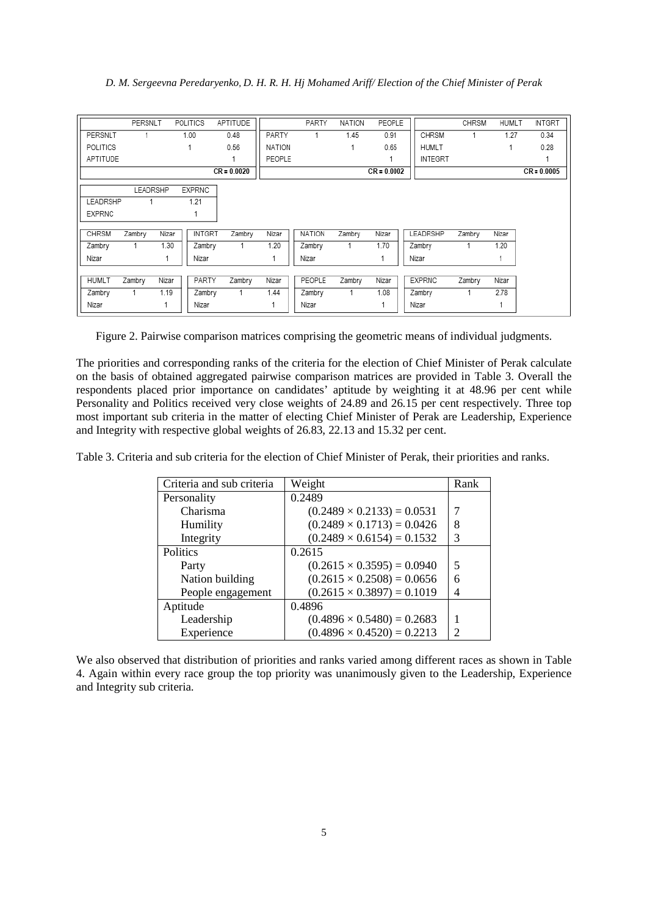#### *D. M. Sergeevna Peredaryenko, D. H. R. H. Hj Mohamed Ariff/ Election of the Chief Minister of Perak*

|                 | PERSNLT  |       | <b>POLITICS</b> | APTITUDE      |               | PARTY         | <b>NATION</b> | PEOPLE        |                | CHRSM  | <b>HUMLT</b> | <b>INTGRT</b> |
|-----------------|----------|-------|-----------------|---------------|---------------|---------------|---------------|---------------|----------------|--------|--------------|---------------|
| PERSNLT         |          |       | 1.00            | 0.48          | PARTY         |               | 1.45          | 0.91          | CHRSM          | 1      | 1.27         | 0.34          |
| <b>POLITICS</b> |          |       |                 | 0.56          | <b>NATION</b> |               |               | 0.65          | <b>HUMLT</b>   |        |              | 0.28          |
| APTITUDE        |          |       |                 |               | PEOPLE        |               |               |               | <b>INTEGRT</b> |        |              |               |
|                 |          |       |                 | $CR = 0.0020$ |               |               |               | $CR = 0.0002$ |                |        |              | $CR = 0.0005$ |
|                 | LEADRSHP |       | <b>EXPRNC</b>   |               |               |               |               |               |                |        |              |               |
| LEADRSHP        |          |       | 1.21            |               |               |               |               |               |                |        |              |               |
| <b>EXPRNC</b>   |          |       |                 |               |               |               |               |               |                |        |              |               |
| <b>CHRSM</b>    | Zambry   | Nizar | <b>INTGRT</b>   | Zambry        | Nizar         | <b>NATION</b> | Zambry        | Nizar         | LEADRSHP       | Zambry | Nizar        |               |
| Zambry          |          | 1.30  | Zambry          |               | 1.20          | Zambry        |               | 1.70          | Zambry         |        | 1.20         |               |
| Nizar           |          |       | Nizar           |               |               | Nizar         |               |               | Nizar          |        |              |               |
|                 |          |       |                 |               |               |               |               |               |                |        |              |               |
| <b>HUMLT</b>    | Zambry   | Nizar | PARTY           | Zambry        | Nizar         | PEOPLE        | Zambry        | Nizar         | <b>EXPRNC</b>  | Zambry | Nizar        |               |
| Zambry          | 1        | 1.19  | Zambry          | 1             | 1.44          | Zambry        |               | 1.08          | Zambry         | 1      | 2.78         |               |
| Nizar           |          |       | Nizar           |               |               | Nizar         |               |               | Nizar          |        |              |               |

Figure 2. Pairwise comparison matrices comprising the geometric means of individual judgments.

The priorities and corresponding ranks of the criteria for the election of Chief Minister of Perak calculate on the basis of obtained aggregated pairwise comparison matrices are provided in Table 3. Overall the respondents placed prior importance on candidates' aptitude by weighting it at 48.96 per cent while Personality and Politics received very close weights of 24.89 and 26.15 per cent respectively. Three top most important sub criteria in the matter of electing Chief Minister of Perak are Leadership, Experience and Integrity with respective global weights of 26.83, 22.13 and 15.32 per cent.

Table 3. Criteria and sub criteria for the election of Chief Minister of Perak, their priorities and ranks.

| Criteria and sub criteria | Weight                            | Rank          |
|---------------------------|-----------------------------------|---------------|
| Personality               | 0.2489                            |               |
| Charisma                  | $(0.2489 \times 0.2133) = 0.0531$ | 7             |
| Humility                  | $(0.2489 \times 0.1713) = 0.0426$ | 8             |
| Integrity                 | $(0.2489 \times 0.6154) = 0.1532$ | 3             |
| Politics                  | 0.2615                            |               |
| Party                     | $(0.2615 \times 0.3595) = 0.0940$ | 5             |
| Nation building           | $(0.2615 \times 0.2508) = 0.0656$ | 6             |
| People engagement         | $(0.2615 \times 0.3897) = 0.1019$ | 4             |
| Aptitude                  | 0.4896                            |               |
| Leadership                | $(0.4896 \times 0.5480) = 0.2683$ |               |
| Experience                | $(0.4896 \times 0.4520) = 0.2213$ | $\mathcal{P}$ |

We also observed that distribution of priorities and ranks varied among different races as shown in Table 4. Again within every race group the top priority was unanimously given to the Leadership, Experience and Integrity sub criteria.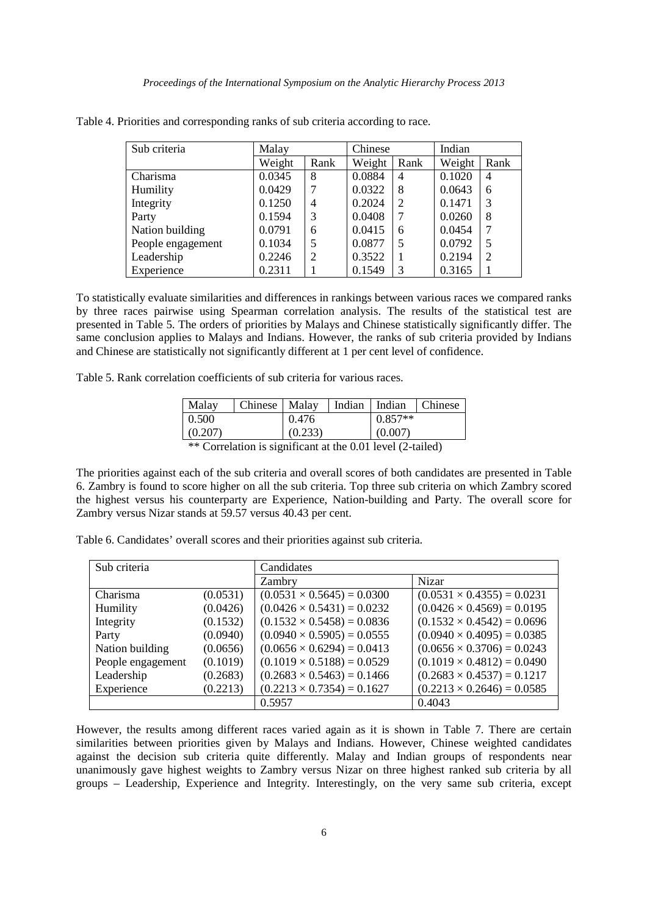| Sub criteria      | Malay  |      | Chinese |                | Indian |                |
|-------------------|--------|------|---------|----------------|--------|----------------|
|                   | Weight | Rank | Weight  | Rank           | Weight | Rank           |
| Charisma          | 0.0345 | 8    | 0.0884  | $\overline{4}$ | 0.1020 | $\overline{4}$ |
| Humility          | 0.0429 |      | 0.0322  | 8              | 0.0643 | 6              |
| Integrity         | 0.1250 | 4    | 0.2024  | 2              | 0.1471 | 3              |
| Party             | 0.1594 | 3    | 0.0408  | 7              | 0.0260 | 8              |
| Nation building   | 0.0791 | 6    | 0.0415  | 6              | 0.0454 | 7              |
| People engagement | 0.1034 | 5    | 0.0877  | 5              | 0.0792 | 5              |
| Leadership        | 0.2246 | 2    | 0.3522  |                | 0.2194 | $\overline{2}$ |
| Experience        | 0.2311 |      | 0.1549  | 3              | 0.3165 |                |

Table 4. Priorities and corresponding ranks of sub criteria according to race.

To statistically evaluate similarities and differences in rankings between various races we compared ranks by three races pairwise using Spearman correlation analysis. The results of the statistical test are presented in Table 5. The orders of priorities by Malays and Chinese statistically significantly differ. The same conclusion applies to Malays and Indians. However, the ranks of sub criteria provided by Indians and Chinese are statistically not significantly different at 1 per cent level of confidence.

Table 5. Rank correlation coefficients of sub criteria for various races.

| Malav   | Chinese   Malay |         | Indian Indian Chinese |  |
|---------|-----------------|---------|-----------------------|--|
| 0.500   |                 | 0.476   | $0.857**$             |  |
| (0.207) |                 | (0.233) | (0.007)               |  |
|         |                 |         |                       |  |

<sup>\*\*</sup> Correlation is significant at the 0.01 level (2-tailed)

The priorities against each of the sub criteria and overall scores of both candidates are presented in Table 6. Zambry is found to score higher on all the sub criteria. Top three sub criteria on which Zambry scored the highest versus his counterparty are Experience, Nation-building and Party. The overall score for Zambry versus Nizar stands at 59.57 versus 40.43 per cent.

| Sub criteria      |          | Candidates                        |                                   |  |  |
|-------------------|----------|-----------------------------------|-----------------------------------|--|--|
|                   |          | Zambry                            | <b>Nizar</b>                      |  |  |
| Charisma          | (0.0531) | $(0.0531 \times 0.5645) = 0.0300$ | $(0.0531 \times 0.4355) = 0.0231$ |  |  |
| Humility          | (0.0426) | $(0.0426 \times 0.5431) = 0.0232$ | $(0.0426 \times 0.4569) = 0.0195$ |  |  |
| Integrity         | (0.1532) | $(0.1532 \times 0.5458) = 0.0836$ | $(0.1532 \times 0.4542) = 0.0696$ |  |  |
| Party             | (0.0940) | $(0.0940 \times 0.5905) = 0.0555$ | $(0.0940 \times 0.4095) = 0.0385$ |  |  |
| Nation building   | (0.0656) | $(0.0656 \times 0.6294) = 0.0413$ | $(0.0656 \times 0.3706) = 0.0243$ |  |  |
| People engagement | (0.1019) | $(0.1019 \times 0.5188) = 0.0529$ | $(0.1019 \times 0.4812) = 0.0490$ |  |  |
| Leadership        | (0.2683) | $(0.2683 \times 0.5463) = 0.1466$ | $(0.2683 \times 0.4537) = 0.1217$ |  |  |
| Experience        | (0.2213) | $(0.2213 \times 0.7354) = 0.1627$ | $(0.2213 \times 0.2646) = 0.0585$ |  |  |
|                   |          | 0.5957                            | 0.4043                            |  |  |

Table 6. Candidates' overall scores and their priorities against sub criteria.

However, the results among different races varied again as it is shown in Table 7. There are certain similarities between priorities given by Malays and Indians. However, Chinese weighted candidates against the decision sub criteria quite differently. Malay and Indian groups of respondents near unanimously gave highest weights to Zambry versus Nizar on three highest ranked sub criteria by all groups – Leadership, Experience and Integrity. Interestingly, on the very same sub criteria, except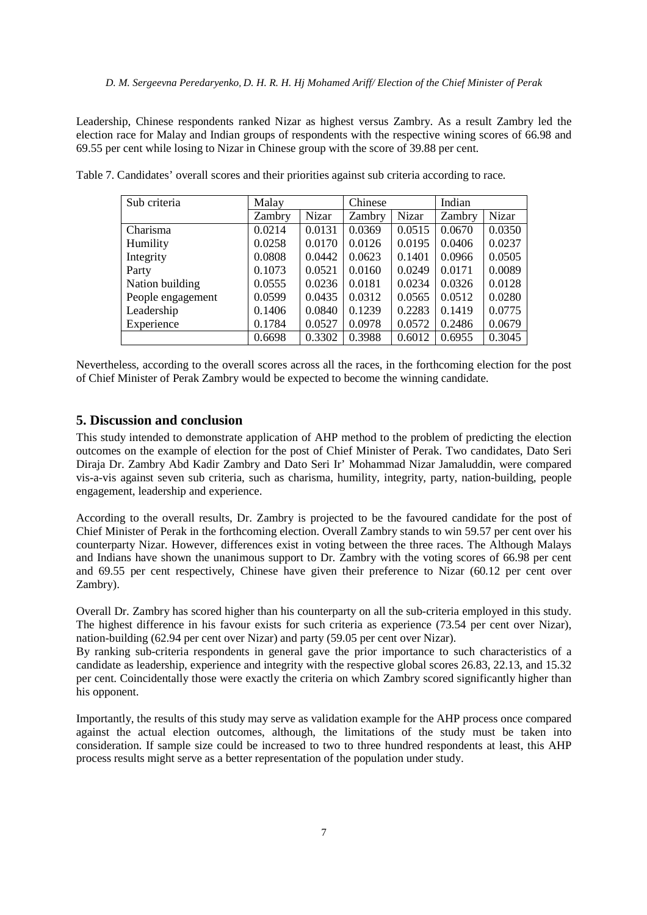Leadership, Chinese respondents ranked Nizar as highest versus Zambry. As a result Zambry led the election race for Malay and Indian groups of respondents with the respective wining scores of 66.98 and 69.55 per cent while losing to Nizar in Chinese group with the score of 39.88 per cent.

| Sub criteria      | Malay  |              | Chinese |        | Indian |        |
|-------------------|--------|--------------|---------|--------|--------|--------|
|                   | Zambry | <b>Nizar</b> | Zambry  | Nizar  | Zambry | Nizar  |
| Charisma          | 0.0214 | 0.0131       | 0.0369  | 0.0515 | 0.0670 | 0.0350 |
| Humility          | 0.0258 | 0.0170       | 0.0126  | 0.0195 | 0.0406 | 0.0237 |
| Integrity         | 0.0808 | 0.0442       | 0.0623  | 0.1401 | 0.0966 | 0.0505 |
| Party             | 0.1073 | 0.0521       | 0.0160  | 0.0249 | 0.0171 | 0.0089 |
| Nation building   | 0.0555 | 0.0236       | 0.0181  | 0.0234 | 0.0326 | 0.0128 |
| People engagement | 0.0599 | 0.0435       | 0.0312  | 0.0565 | 0.0512 | 0.0280 |
| Leadership        | 0.1406 | 0.0840       | 0.1239  | 0.2283 | 0.1419 | 0.0775 |
| Experience        | 0.1784 | 0.0527       | 0.0978  | 0.0572 | 0.2486 | 0.0679 |
|                   | 0.6698 | 0.3302       | 0.3988  | 0.6012 | 0.6955 | 0.3045 |

Table 7. Candidates' overall scores and their priorities against sub criteria according to race.

Nevertheless, according to the overall scores across all the races, in the forthcoming election for the post of Chief Minister of Perak Zambry would be expected to become the winning candidate.

#### **5. Discussion and conclusion**

This study intended to demonstrate application of AHP method to the problem of predicting the election outcomes on the example of election for the post of Chief Minister of Perak. Two candidates, Dato Seri Diraja Dr. Zambry Abd Kadir Zambry and Dato Seri Ir' Mohammad Nizar Jamaluddin, were compared vis-a-vis against seven sub criteria, such as charisma, humility, integrity, party, nation-building, people engagement, leadership and experience.

According to the overall results, Dr. Zambry is projected to be the favoured candidate for the post of Chief Minister of Perak in the forthcoming election. Overall Zambry stands to win 59.57 per cent over his counterparty Nizar. However, differences exist in voting between the three races. The Although Malays and Indians have shown the unanimous support to Dr. Zambry with the voting scores of 66.98 per cent and 69.55 per cent respectively, Chinese have given their preference to Nizar (60.12 per cent over Zambry).

Overall Dr. Zambry has scored higher than his counterparty on all the sub-criteria employed in this study. The highest difference in his favour exists for such criteria as experience (73.54 per cent over Nizar), nation-building (62.94 per cent over Nizar) and party (59.05 per cent over Nizar).

By ranking sub-criteria respondents in general gave the prior importance to such characteristics of a candidate as leadership, experience and integrity with the respective global scores 26.83, 22.13, and 15.32 per cent. Coincidentally those were exactly the criteria on which Zambry scored significantly higher than his opponent.

Importantly, the results of this study may serve as validation example for the AHP process once compared against the actual election outcomes, although, the limitations of the study must be taken into consideration. If sample size could be increased to two to three hundred respondents at least, this AHP process results might serve as a better representation of the population under study.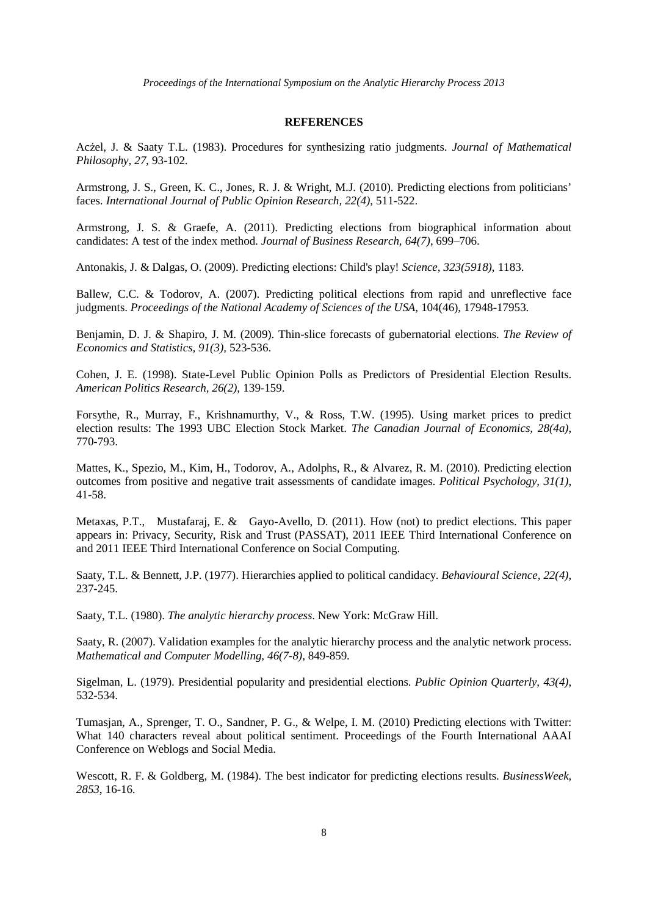*Proceedings of the International Symposium on the Analytic Hierarchy Process 2013* 

#### **REFERENCES**

Acźel, J. & Saaty T.L. (1983). Procedures for synthesizing ratio judgments. *Journal of Mathematical Philosophy, 27*, 93-102.

Armstrong, J. S., Green, K. C., Jones, R. J. & Wright, M.J. (2010). Predicting elections from politicians' faces. *International Journal of Public Opinion Research, 22(4)*, 511-522.

Armstrong, J. S. & Graefe, A. (2011). Predicting elections from biographical information about candidates: A test of the index method. *Journal of Business Research, 64(7)*, 699–706.

Antonakis, J. & Dalgas, O. (2009). Predicting elections: Child's play! *Science, 323(5918)*, 1183.

Ballew, C.C. & Todorov, A. (2007). Predicting political elections from rapid and unreflective face judgments. *Proceedings of the National Academy of Sciences of the USA*, 104(46), 17948-17953.

Benjamin, D. J. & Shapiro, J. M. (2009). Thin-slice forecasts of gubernatorial elections. *The Review of Economics and Statistics, 91(3)*, 523-536.

Cohen, J. E. (1998). State-Level Public Opinion Polls as Predictors of Presidential Election Results. *American Politics Research, 26(2)*, 139-159.

Forsythe, R., Murray, F., Krishnamurthy, V., & Ross, T.W. (1995). Using market prices to predict election results: The 1993 UBC Election Stock Market. *The Canadian Journal of Economics, 28(4a)*, 770-793.

Mattes, K., Spezio, M., Kim, H., Todorov, A., Adolphs, R., & Alvarez, R. M. (2010). Predicting election outcomes from positive and negative trait assessments of candidate images. *Political Psychology, 31(1)*, 41-58.

Metaxas, P.T., Mustafaraj, E. & Gayo-Avello, D. (2011). How (not) to predict elections. This paper appears in: Privacy, Security, Risk and Trust (PASSAT), 2011 IEEE Third International Conference on and 2011 IEEE Third International Conference on Social Computing.

Saaty, T.L. & Bennett, J.P. (1977). Hierarchies applied to political candidacy. *Behavioural Science, 22(4)*, 237-245.

Saaty, T.L. (1980). *The analytic hierarchy process*. New York: McGraw Hill.

Saaty, R. (2007). Validation examples for the analytic hierarchy process and the analytic network process. *Mathematical and Computer Modelling, 46(7-8)*, 849-859.

Sigelman, L. (1979). Presidential popularity and presidential elections. *Public Opinion Quarterly, 43(4)*, 532-534.

Tumasjan, A., Sprenger, T. O., Sandner, P. G., & Welpe, I. M. (2010) Predicting elections with Twitter: What 140 characters reveal about political sentiment. Proceedings of the Fourth International AAAI Conference on Weblogs and Social Media.

Wescott, R. F. & Goldberg, M. (1984). The best indicator for predicting elections results. *BusinessWeek, 2853*, 16-16.